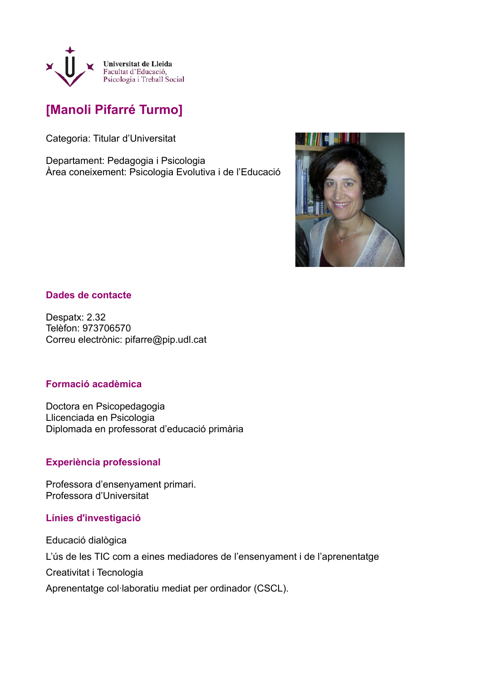

# **[Manoli Pifarré Turmo]**

Categoria: Titular d'Universitat

Departament: Pedagogia i Psicologia Àrea coneixement: Psicologia Evolutiva i de l'Educació



## **Dades de contacte**

Despatx: 2.32 Telèfon: 973706570 Correu electrònic: pifarre@pip.udl.cat

### **Formació acadèmica**

Doctora en Psicopedagogia Llicenciada en Psicologia Diplomada en professorat d'educació primària

### **Experiència professional**

Professora d'ensenyament primari. Professora d'Universitat

### **Línies d'investigació**

Educació dialògica L'ús de les TIC com a eines mediadores de l'ensenyament i de l'aprenentatge Creativitat i Tecnologia Aprenentatge col·laboratiu mediat per ordinador (CSCL).